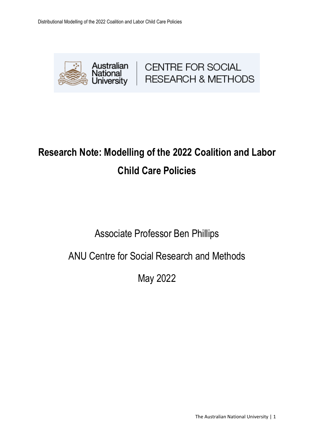

# **Research Note: Modelling of the 2022 Coalition and Labor Child Care Policies**

## Associate Professor Ben Phillips

### ANU Centre for Social Research and Methods

May 2022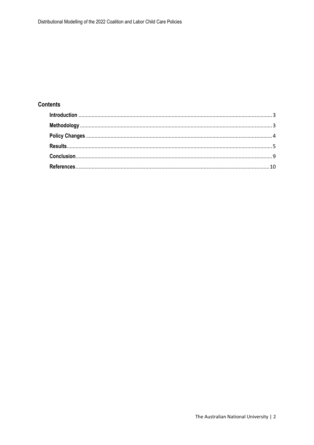### **Contents**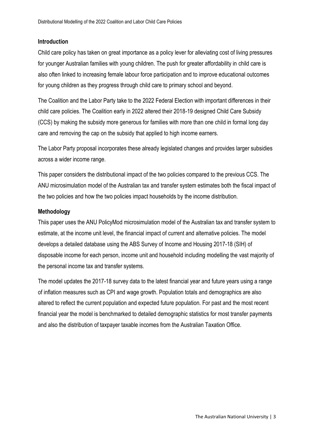#### <span id="page-2-0"></span>**Introduction**

Child care policy has taken on great importance as a policy lever for alleviating cost of living pressures for younger Australian families with young children. The push for greater affordability in child care is also often linked to increasing female labour force participation and to improve educational outcomes for young children as they progress through child care to primary school and beyond.

The Coalition and the Labor Party take to the 2022 Federal Election with important differences in their child care policies. The Coalition early in 2022 altered their 2018-19 designed Child Care Subsidy (CCS) by making the subsidy more generous for families with more than one child in formal long day care and removing the cap on the subsidy that applied to high income earners.

The Labor Party proposal incorporates these already legislated changes and provides larger subsidies across a wider income range.

This paper considers the distributional impact of the two policies compared to the previous CCS. The ANU microsimulation model of the Australian tax and transfer system estimates both the fiscal impact of the two policies and how the two policies impact households by the income distribution.

#### <span id="page-2-1"></span>**Methodology**

Thiis paper uses the ANU PolicyMod microsimulation model of the Australian tax and transfer system to estimate, at the income unit level, the financial impact of current and alternative policies. The model develops a detailed database using the ABS Survey of Income and Housing 2017-18 (SIH) of disposable income for each person, income unit and household including modelling the vast majority of the personal income tax and transfer systems.

The model updates the 2017-18 survey data to the latest financial year and future years using a range of inflation measures such as CPI and wage growth. Population totals and demographics are also altered to reflect the current population and expected future population. For past and the most recent financial year the model is benchmarked to detailed demographic statistics for most transfer payments and also the distribution of taxpayer taxable incomes from the Australian Taxation Office.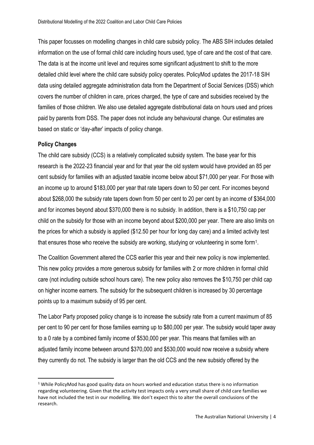This paper focusses on modelling changes in child care subsidy policy. The ABS SIH includes detailed information on the use of formal child care including hours used, type of care and the cost of that care. The data is at the income unit level and requires some significant adjustment to shift to the more detailed child level where the child care subsidy policy operates. PolicyMod updates the 2017-18 SIH data using detailed aggregate administration data from the Department of Social Services (DSS) which covers the number of children in care, prices charged, the type of care and subsidies received by the families of those children. We also use detailed aggregate distributional data on hours used and prices paid by parents from DSS. The paper does not include any behavioural change. Our estimates are based on static or 'day-after' impacts of policy change.

#### <span id="page-3-0"></span>**Policy Changes**

**.** 

The child care subsidy (CCS) is a relatively complicated subsidy system. The base year for this research is the 2022-23 financial year and for that year the old system would have provided an 85 per cent subsidy for families with an adjusted taxable income below about \$71,000 per year. For those with an income up to around \$183,000 per year that rate tapers down to 50 per cent. For incomes beyond about \$268,000 the subsidy rate tapers down from 50 per cent to 20 per cent by an income of \$364,000 and for incomes beyond about \$370,000 there is no subsidy. In addition, there is a \$10,750 cap per child on the subsidy for those with an income beyond about \$200,000 per year. There are also limits on the prices for which a subsidy is applied (\$12.50 per hour for long day care) and a limited activity test that ensures those who receive the subsidy are working, studying or volunteering in some form<sup>1</sup>.

The Coalition Government altered the CCS earlier this year and their new policy is now implemented. This new policy provides a more generous subsidy for families with 2 or more children in formal child care (not including outside school hours care). The new policy also removes the \$10,750 per child cap on higher income earners. The subsidy for the subsequent children is increased by 30 percentage points up to a maximum subsidy of 95 per cent.

The Labor Party proposed policy change is to increase the subsidy rate from a current maximum of 85 per cent to 90 per cent for those families earning up to \$80,000 per year. The subsidy would taper away to a 0 rate by a combined family income of \$530,000 per year. This means that families with an adjusted family income between around \$370,000 and \$530,000 would now receive a subsidy where they currently do not. The subsidy is larger than the old CCS and the new subsidy offered by the

 $1$  While PolicyMod has good quality data on hours worked and education status there is no information regarding volunteering. Given that the activity test impacts only a very small share of child care families we have not included the test in our modelling. We don't expect this to alter the overall conclusions of the research.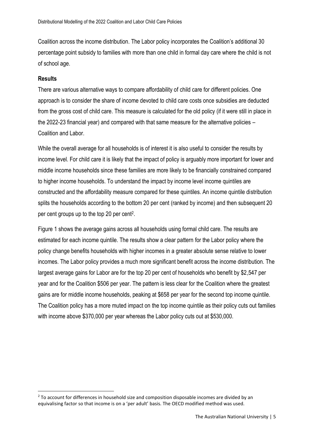Coalition across the income distribution. The Labor policy incorporates the Coalition's additional 30 percentage point subsidy to families with more than one child in formal day care where the child is not of school age.

#### <span id="page-4-0"></span>**Results**

**.** 

There are various alternative ways to compare affordability of child care for different policies. One approach is to consider the share of income devoted to child care costs once subsidies are deducted from the gross cost of child care. This measure is calculated for the old policy (if it were still in place in the 2022-23 financial year) and compared with that same measure for the alternative policies – Coalition and Labor.

While the overall average for all households is of interest it is also useful to consider the results by income level. For child care it is likely that the impact of policy is arguably more important for lower and middle income households since these families are more likely to be financially constrained compared to higher income households. To understand the impact by income level income quintiles are constructed and the affordability measure compared for these quintiles. An income quintile distribution splits the households according to the bottom 20 per cent (ranked by income) and then subsequent 20 per cent groups up to the top 20 per cent<sup>2</sup>.

Figure 1 shows the average gains across all households using formal child care. The results are estimated for each income quintile. The results show a clear pattern for the Labor policy where the policy change benefits households with higher incomes in a greater absolute sense relative to lower incomes. The Labor policy provides a much more significant benefit across the income distribution. The largest average gains for Labor are for the top 20 per cent of households who benefit by \$2,547 per year and for the Coalition \$506 per year. The pattern is less clear for the Coalition where the greatest gains are for middle income households, peaking at \$658 per year for the second top income quintile. The Coalition policy has a more muted impact on the top income quintile as their policy cuts out families with income above \$370,000 per year whereas the Labor policy cuts out at \$530,000.

 $2$  To account for differences in household size and composition disposable incomes are divided by an equivalising factor so that income is on a 'per adult' basis. The OECD modified method was used.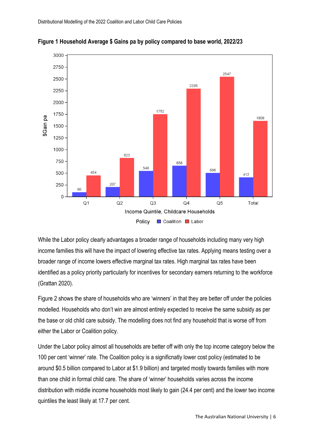

**Figure 1 Household Average \$ Gains pa by policy compared to base world, 2022/23**

While the Labor policy clearly advantages a broader range of households including many very high income families this will have the impact of lowering effective tax rates. Applying means testing over a broader range of income lowers effective marginal tax rates. High marginal tax rates have been identified as a policy priority particularly for incentives for secondary earners returning to the workforce (Grattan 2020).

Figure 2 shows the share of households who are 'winners' in that they are better off under the policies modelled. Households who don't win are almost entirely expected to receive the same subsidy as per the base or old child care subsidy. The modelling does not find any household that is worse off from either the Labor or Coalition policy.

Under the Labor policy almost all households are better off with only the top income category below the 100 per cent 'winner' rate. The Coalition policy is a significnatly lower cost policy (estimated to be around \$0.5 billion compared to Labor at \$1.9 billion) and targeted mostly towards families with more than one child in formal child care. The share of 'winner' households varies across the income distribution with middle income households most likely to gain (24.4 per cent) and the lower two income quintiles the least likely at 17.7 per cent.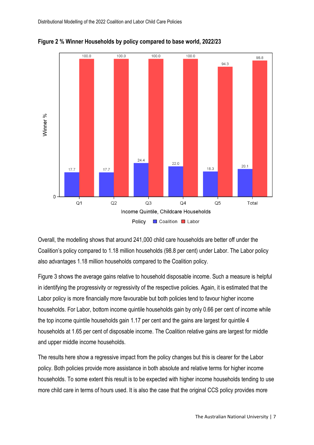



Overall, the modelling shows that around 241,000 child care households are better off under the Coalition's policy compared to 1.18 million households (98.8 per cent) under Labor. The Labor policy also advantages 1.18 million households compared to the Coalition policy.

Figure 3 shows the average gains relative to household disposable income. Such a measure is helpful in identifying the progressivity or regressivity of the respective policies. Again, it is estimated that the Labor policy is more financially more favourable but both policies tend to favour higher income households. For Labor, bottom income quintile households gain by only 0.66 per cent of income while the top income quintile households gain 1.17 per cent and the gains are largest for quintile 4 households at 1.65 per cent of disposable income. The Coalition relative gains are largest for middle and upper middle income households.

The results here show a regressive impact from the policy changes but this is clearer for the Labor policy. Both policies provide more assistance in both absolute and relative terms for higher income households. To some extent this result is to be expected with higher income households tending to use more child care in terms of hours used. It is also the case that the original CCS policy provides more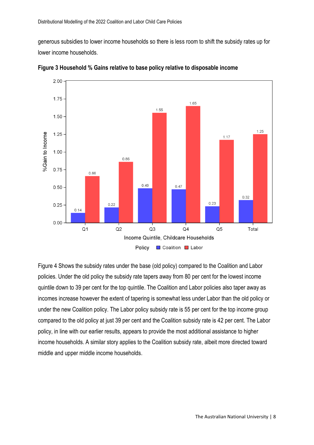generous subsidies to lower income households so there is less room to shift the subsidy rates up for lower income households.



**Figure 3 Household % Gains relative to base policy relative to disposable income**

Figure 4 Shows the subsidy rates under the base (old policy) compared to the Coalition and Labor policies. Under the old policy the subsidy rate tapers away from 80 per cent for the lowest income quintile down to 39 per cent for the top quintile. The Coalition and Labor policies also taper away as incomes increase however the extent of tapering is somewhat less under Labor than the old policy or under the new Coalition policy. The Labor policy subsidy rate is 55 per cent for the top income group compared to the old policy at just 39 per cent and the Coalition subsidy rate is 42 per cent. The Labor policy, in line with our earlier results, appears to provide the most additional assistance to higher income households. A similar story applies to the Coalition subsidy rate, albeit more directed toward middle and upper middle income households.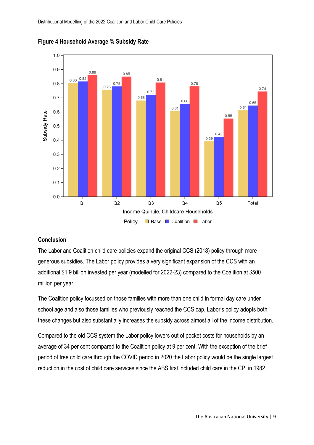

**Figure 4 Household Average % Subsidy Rate**

#### <span id="page-8-0"></span>**Conclusion**

The Labor and Coalition child care policies expand the original CCS (2018) policy through more generous subsidies. The Labor policy provides a very significant expansion of the CCS with an additional \$1.9 billion invested per year (modelled for 2022-23) compared to the Coalition at \$500 million per year.

The Coalition policy focussed on those families with more than one child in formal day care under school age and also those families who previously reached the CCS cap. Labor's policy adopts both these changes but also substantially increases the subsidy across almost all of the income distribution.

Compared to the old CCS system the Labor policy lowers out of pocket costs for households by an average of 34 per cent compared to the Coalition policy at 9 per cent. With the exception of the brief period of free child care through the COVID period in 2020 the Labor policy would be the single largest reduction in the cost of child care services since the ABS first included child care in the CPI in 1982.